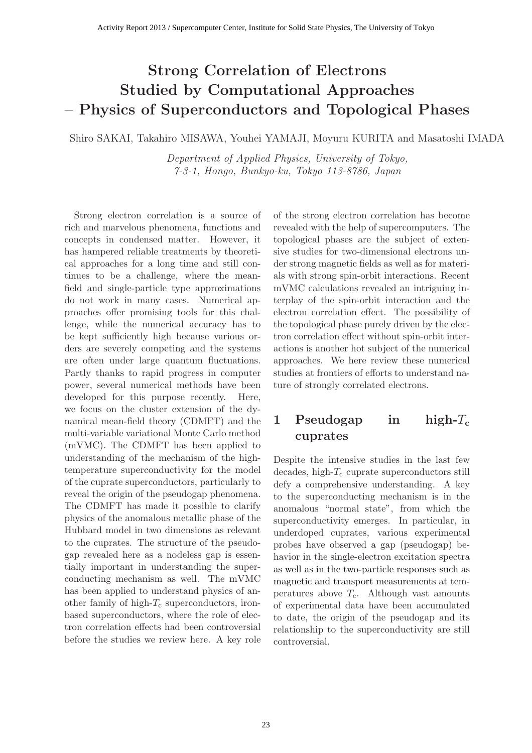# **Strong Correlation of Electrons Studied by Computational Approaches – Physics of Superconductors and Topological Phases**

Shiro SAKAI, Takahiro MISAWA, Youhei YAMAJI, Moyuru KURITA and Masatoshi IMADA

*Department of Applied Physics, University of Tokyo, 7-3-1, Hongo, Bunkyo-ku, Tokyo 113-8786, Japan*

Strong electron correlation is a source of rich and marvelous phenomena, functions and concepts in condensed matter. However, it has hampered reliable treatments by theoretical approaches for a long time and still continues to be a challenge, where the meanfield and single-particle type approximations do not work in many cases. Numerical approaches offer promising tools for this challenge, while the numerical accuracy has to be kept sufficiently high because various orders are severely competing and the systems are often under large quantum fluctuations. Partly thanks to rapid progress in computer power, several numerical methods have been developed for this purpose recently. Here, we focus on the cluster extension of the dynamical mean-field theory (CDMFT) and the multi-variable variational Monte Carlo method (mVMC). The CDMFT has been applied to understanding of the mechanism of the hightemperature superconductivity for the model of the cuprate superconductors, particularly to reveal the origin of the pseudogap phenomena. The CDMFT has made it possible to clarify physics of the anomalous metallic phase of the Hubbard model in two dimensions as relevant to the cuprates. The structure of the pseudogap revealed here as a nodeless gap is essentially important in understanding the superconducting mechanism as well. The mVMC has been applied to understand physics of another family of high- $T_c$  superconductors, ironbased superconductors, where the role of electron correlation effects had been controversial before the studies we review here. A key role

of the strong electron correlation has become revealed with the help of supercomputers. The topological phases are the subject of extensive studies for two-dimensional electrons under strong magnetic fields as well as for materials with strong spin-orbit interactions. Recent mVMC calculations revealed an intriguing interplay of the spin-orbit interaction and the electron correlation effect. The possibility of the topological phase purely driven by the electron correlation effect without spin-orbit interactions is another hot subject of the numerical approaches. We here review these numerical studies at frontiers of efforts to understand nature of strongly correlated electrons.

# **1 Pseudogap in high-***T***<sup>c</sup> cuprates**

Despite the intensive studies in the last few decades, high- $T_c$  cuprate superconductors still defy a comprehensive understanding. A key to the superconducting mechanism is in the anomalous "normal state", from which the superconductivity emerges. In particular, in underdoped cuprates, various experimental probes have observed a gap (pseudogap) behavior in the single-electron excitation spectra as well as in the two-particle responses such as magnetic and transport measurements at temperatures above  $T_c$ . Although vast amounts of experimental data have been accumulated to date, the origin of the pseudogap and its relationship to the superconductivity are still controversial.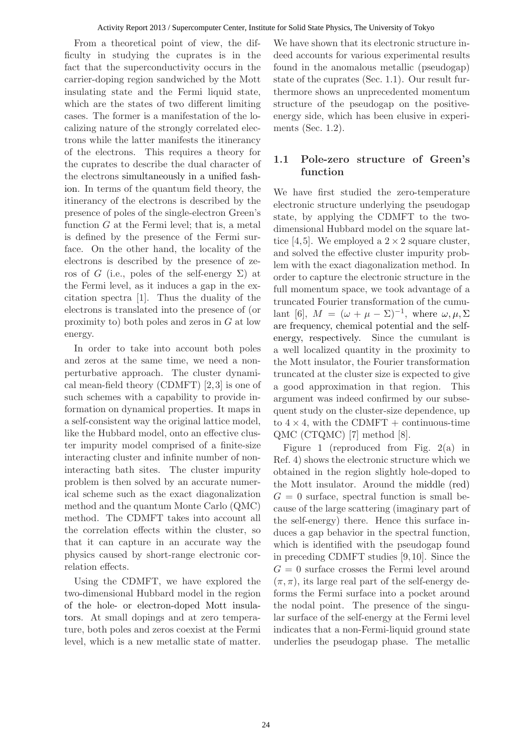From a theoretical point of view, the difficulty in studying the cuprates is in the fact that the superconductivity occurs in the carrier-doping region sandwiched by the Mott insulating state and the Fermi liquid state, which are the states of two different limiting cases. The former is a manifestation of the localizing nature of the strongly correlated electrons while the latter manifests the itinerancy of the electrons. This requires a theory for the cuprates to describe the dual character of the electrons simultaneously in a unified fashion. In terms of the quantum field theory, the itinerancy of the electrons is described by the presence of poles of the single-electron Green's function  $G$  at the Fermi level; that is, a metal is defined by the presence of the Fermi surface. On the other hand, the locality of the electrons is described by the presence of zeros of G (i.e., poles of the self-energy  $\Sigma$ ) at the Fermi level, as it induces a gap in the excitation spectra [1]. Thus the duality of the electrons is translated into the presence of (or proximity to) both poles and zeros in G at low energy.

In order to take into account both poles and zeros at the same time, we need a nonperturbative approach. The cluster dynamical mean-field theory (CDMFT) [2, 3] is one of such schemes with a capability to provide information on dynamical properties. It maps in a self-consistent way the original lattice model, like the Hubbard model, onto an effective cluster impurity model comprised of a finite-size interacting cluster and infinite number of noninteracting bath sites. The cluster impurity problem is then solved by an accurate numerical scheme such as the exact diagonalization method and the quantum Monte Carlo (QMC) method. The CDMFT takes into account all the correlation effects within the cluster, so that it can capture in an accurate way the physics caused by short-range electronic correlation effects.

Using the CDMFT, we have explored the two-dimensional Hubbard model in the region of the hole- or electron-doped Mott insulators. At small dopings and at zero temperature, both poles and zeros coexist at the Fermi level, which is a new metallic state of matter.

We have shown that its electronic structure indeed accounts for various experimental results found in the anomalous metallic (pseudogap) state of the cuprates (Sec. 1.1). Our result furthermore shows an unprecedented momentum structure of the pseudogap on the positiveenergy side, which has been elusive in experiments (Sec. 1.2).

### **1.1 Pole-zero structure of Green's function**

We have first studied the zero-temperature electronic structure underlying the pseudogap state, by applying the CDMFT to the twodimensional Hubbard model on the square lattice [4,5]. We employed a  $2 \times 2$  square cluster, and solved the effective cluster impurity problem with the exact diagonalization method. In order to capture the electronic structure in the full momentum space, we took advantage of a truncated Fourier transformation of the cumulant [6],  $M = (\omega + \mu - \Sigma)^{-1}$ , where  $\omega, \mu, \Sigma$ are frequency, chemical potential and the selfenergy, respectively. Since the cumulant is a well localized quantity in the proximity to the Mott insulator, the Fourier transformation truncated at the cluster size is expected to give a good approximation in that region. This argument was indeed confirmed by our subsequent study on the cluster-size dependence, up to  $4 \times 4$ , with the CDMFT + continuous-time QMC (CTQMC) [7] method [8].

Figure 1 (reproduced from Fig. 2(a) in Ref. 4) shows the electronic structure which we obtained in the region slightly hole-doped to the Mott insulator. Around the middle (red)  $G = 0$  surface, spectral function is small because of the large scattering (imaginary part of the self-energy) there. Hence this surface induces a gap behavior in the spectral function, which is identified with the pseudogap found in preceding CDMFT studies [9, 10]. Since the  $G = 0$  surface crosses the Fermi level around  $(\pi, \pi)$ , its large real part of the self-energy deforms the Fermi surface into a pocket around the nodal point. The presence of the singular surface of the self-energy at the Fermi level indicates that a non-Fermi-liquid ground state underlies the pseudogap phase. The metallic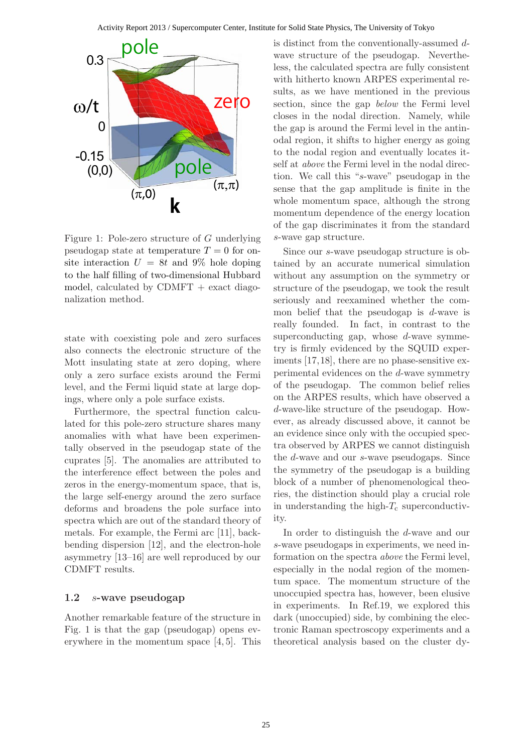

Figure 1: Pole-zero structure of G underlying pseudogap state at temperature  $T = 0$  for onsite interaction  $U = 8t$  and 9% hole doping to the half filling of two-dimensional Hubbard model, calculated by  $CDMFT$  + exact diagonalization method.

state with coexisting pole and zero surfaces also connects the electronic structure of the Mott insulating state at zero doping, where only a zero surface exists around the Fermi level, and the Fermi liquid state at large dopings, where only a pole surface exists.

Furthermore, the spectral function calculated for this pole-zero structure shares many anomalies with what have been experimentally observed in the pseudogap state of the cuprates [5]. The anomalies are attributed to the interference effect between the poles and zeros in the energy-momentum space, that is, the large self-energy around the zero surface deforms and broadens the pole surface into spectra which are out of the standard theory of metals. For example, the Fermi arc [11], backbending dispersion [12], and the electron-hole asymmetry [13–16] are well reproduced by our CDMFT results.

#### **1.2** *s***-wave pseudogap**

Another remarkable feature of the structure in Fig. 1 is that the gap (pseudogap) opens everywhere in the momentum space [4, 5]. This is distinct from the conventionally-assumed dwave structure of the pseudogap. Nevertheless, the calculated spectra are fully consistent with hitherto known ARPES experimental results, as we have mentioned in the previous section, since the gap *below* the Fermi level closes in the nodal direction. Namely, while the gap is around the Fermi level in the antinodal region, it shifts to higher energy as going to the nodal region and eventually locates itself at *above* the Fermi level in the nodal direction. We call this "s-wave" pseudogap in the sense that the gap amplitude is finite in the whole momentum space, although the strong momentum dependence of the energy location of the gap discriminates it from the standard s-wave gap structure.

Since our s-wave pseudogap structure is obtained by an accurate numerical simulation without any assumption on the symmetry or structure of the pseudogap, we took the result seriously and reexamined whether the common belief that the pseudogap is  $d$ -wave is really founded. In fact, in contrast to the superconducting gap, whose  $d$ -wave symmetry is firmly evidenced by the SQUID experiments [17,18], there are no phase-sensitive experimental evidences on the d-wave symmetry of the pseudogap. The common belief relies on the ARPES results, which have observed a d-wave-like structure of the pseudogap. However, as already discussed above, it cannot be an evidence since only with the occupied spectra observed by ARPES we cannot distinguish the d-wave and our s-wave pseudogaps. Since the symmetry of the pseudogap is a building block of a number of phenomenological theories, the distinction should play a crucial role in understanding the high- $T_c$  superconductivity.

In order to distinguish the d-wave and our s-wave pseudogaps in experiments, we need information on the spectra *above* the Fermi level, especially in the nodal region of the momentum space. The momentum structure of the unoccupied spectra has, however, been elusive in experiments. In Ref.19, we explored this dark (unoccupied) side, by combining the electronic Raman spectroscopy experiments and a theoretical analysis based on the cluster dy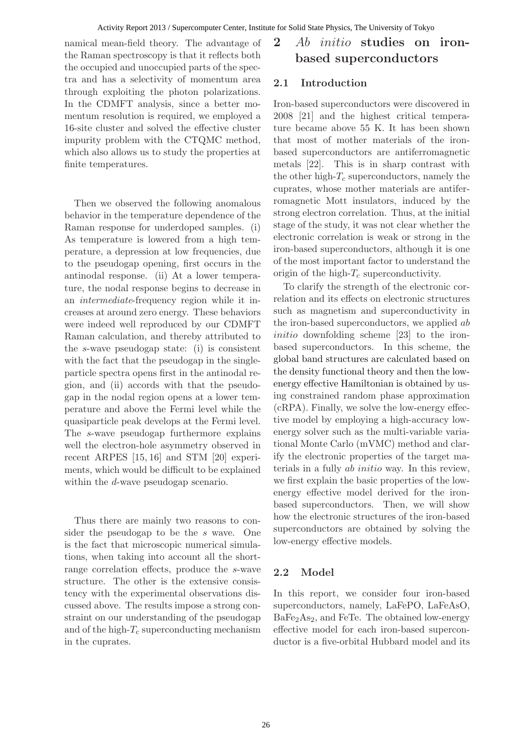namical mean-field theory. The advantage of the Raman spectroscopy is that it reflects both the occupied and unoccupied parts of the spectra and has a selectivity of momentum area through exploiting the photon polarizations. In the CDMFT analysis, since a better momentum resolution is required, we employed a 16-site cluster and solved the effective cluster impurity problem with the CTQMC method, which also allows us to study the properties at finite temperatures.

Then we observed the following anomalous behavior in the temperature dependence of the Raman response for underdoped samples. (i) As temperature is lowered from a high temperature, a depression at low frequencies, due to the pseudogap opening, first occurs in the antinodal response. (ii) At a lower temperature, the nodal response begins to decrease in an *intermediate*-frequency region while it increases at around zero energy. These behaviors were indeed well reproduced by our CDMFT Raman calculation, and thereby attributed to the s-wave pseudogap state: (i) is consistent with the fact that the pseudogap in the singleparticle spectra opens first in the antinodal region, and (ii) accords with that the pseudogap in the nodal region opens at a lower temperature and above the Fermi level while the quasiparticle peak develops at the Fermi level. The s-wave pseudogap furthermore explains well the electron-hole asymmetry observed in recent ARPES [15, 16] and STM [20] experiments, which would be difficult to be explained within the d-wave pseudogap scenario.

Thus there are mainly two reasons to consider the pseudogap to be the s wave. One is the fact that microscopic numerical simulations, when taking into account all the shortrange correlation effects, produce the s-wave structure. The other is the extensive consistency with the experimental observations discussed above. The results impose a strong constraint on our understanding of the pseudogap and of the high- $T_c$  superconducting mechanism in the cuprates.

# **2** *Ab initio* **studies on ironbased superconductors**

### **2.1 Introduction**

Iron-based superconductors were discovered in 2008 [21] and the highest critical temperature became above 55 K. It has been shown that most of mother materials of the ironbased superconductors are antiferromagnetic metals [22]. This is in sharp contrast with the other high- $T_c$  superconductors, namely the cuprates, whose mother materials are antiferromagnetic Mott insulators, induced by the strong electron correlation. Thus, at the initial stage of the study, it was not clear whether the electronic correlation is weak or strong in the iron-based superconductors, although it is one of the most important factor to understand the origin of the high- $T_c$  superconductivity.

To clarify the strength of the electronic correlation and its effects on electronic structures such as magnetism and superconductivity in the iron-based superconductors, we applied ab initio downfolding scheme [23] to the ironbased superconductors. In this scheme, the global band structures are calculated based on the density functional theory and then the lowenergy effective Hamiltonian is obtained by using constrained random phase approximation (cRPA). Finally, we solve the low-energy effective model by employing a high-accuracy lowenergy solver such as the multi-variable variational Monte Carlo (mVMC) method and clarify the electronic properties of the target materials in a fully ab initio way. In this review, we first explain the basic properties of the lowenergy effective model derived for the ironbased superconductors. Then, we will show how the electronic structures of the iron-based superconductors are obtained by solving the low-energy effective models.

#### **2.2 Model**

In this report, we consider four iron-based superconductors, namely, LaFePO, LaFeAsO, BaFe2As2, and FeTe. The obtained low-energy effective model for each iron-based superconductor is a five-orbital Hubbard model and its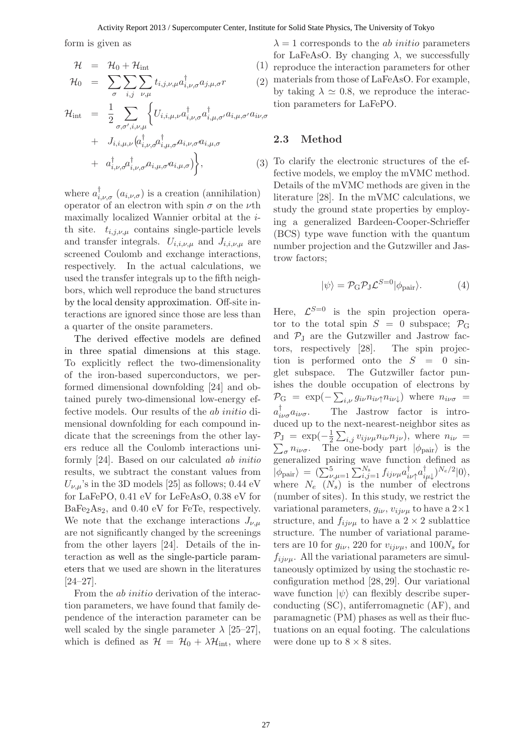#### Activity Report 2013 / Supercomputer Center, Institute for Solid State Physics, The University of Tokyo

form is given as

$$
\mathcal{H} = \mathcal{H}_0 + \mathcal{H}_{int} \tag{1}
$$

$$
\mathcal{H}_0 = \sum_{\sigma} \sum_{i,j} \sum_{\nu,\mu} t_{i,j,\nu,\mu} a_{i,\nu,\sigma}^{\dagger} a_{j,\mu,\sigma} r
$$

$$
\mathcal{H}_{int} = \frac{1}{2} \sum_{\sigma,\sigma',i,\nu,\mu} \left\{ U_{i,i,\mu,\nu} a_{i,\nu,\sigma}^{\dagger} a_{i,\mu,\sigma'}^{\dagger} a_{i,\mu,\sigma'} a_{i,\mu,\sigma'} a_{i\nu,\sigma} \right. \\
\left. + J_{i,i,\mu,\nu} \left( a_{i,\nu,\sigma}^{\dagger} a_{i,\mu,\sigma}^{\dagger} a_{i,\nu,\sigma} a_{i,\mu,\sigma} \right) \right\}, \tag{3}
$$

where  $a_{i,\nu,\sigma}^{\dagger}$   $(a_{i,\nu,\sigma})$  is a creation (annihilation) operator of an electron with spin  $\sigma$  on the  $\nu$ th maximally localized Wannier orbital at the ith site.  $t_{i,j,\nu,\mu}$  contains single-particle levels and transfer integrals.  $U_{i,i,\nu,\mu}$  and  $J_{i,i,\nu,\mu}$  are screened Coulomb and exchange interactions, respectively. In the actual calculations, we used the transfer integrals up to the fifth neighbors, which well reproduce the band structures by the local density approximation. Off-site interactions are ignored since those are less than a quarter of the onsite parameters.

The derived effective models are defined in three spatial dimensions at this stage. To explicitly reflect the two-dimensionality of the iron-based superconductors, we performed dimensional downfolding [24] and obtained purely two-dimensional low-energy effective models. Our results of the ab initio dimensional downfolding for each compound indicate that the screenings from the other layers reduce all the Coulomb interactions uniformly [24]. Based on our calculated *ab initio* results, we subtract the constant values from  $U_{\nu,\mu}$ 's in the 3D models [25] as follows; 0.44 eV for LaFePO, 0.41 eV for LeFeAsO, 0.38 eV for BaFe<sub>2</sub>As<sub>2</sub>, and 0.40 eV for FeTe, respectively. We note that the exchange interactions  $J_{\nu,\mu}$ are not significantly changed by the screenings from the other layers [24]. Details of the interaction as well as the single-particle parameters that we used are shown in the literatures [24–27].

From the *ab initio* derivation of the interaction parameters, we have found that family dependence of the interaction parameter can be well scaled by the single parameter  $\lambda$  [25–27], which is defined as  $\mathcal{H} = \mathcal{H}_0 + \lambda \mathcal{H}_{\text{int}}$ , where

 $\mu_{i,\nu,\sigma} a_{j,\mu,\sigma} r$  (2) materials from those of LaFeAsO. For example,  $\lambda = 1$  corresponds to the *ab initio* parameters for LaFeAsO. By changing  $\lambda$ , we successfully 1) reproduce the interaction parameters for other by taking  $\lambda \simeq 0.8$ , we reproduce the interaction parameters for LaFePO.

#### **2.3 Method**

To clarify the electronic structures of the effective models, we employ the mVMC method. Details of the mVMC methods are given in the literature [28]. In the mVMC calculations, we study the ground state properties by employing a generalized Bardeen-Cooper-Schrieffer (BCS) type wave function with the quantum number projection and the Gutzwiller and Jastrow factors;

$$
|\psi\rangle = \mathcal{P}_{\rm G} \mathcal{P}_{\rm J} \mathcal{L}^{S=0} |\phi_{\rm pair}\rangle. \tag{4}
$$

Here,  $\mathcal{L}^{S=0}$  is the spin projection operator to the total spin  $S = 0$  subspace;  $\mathcal{P}_G$ and  $P_J$  are the Gutzwiller and Jastrow fac-<br>tors, respectively [28]. The spin projectors, respectively  $[28]$ . tion is performed onto the  $S = 0$  singlet subspace. The Gutzwiller factor punishes the double occupation of electrons by  $\mathcal{P}_{\mathrm{G}} = \exp(-\sum_{i,\nu} g_{i\nu} n_{i\nu\uparrow} n_{i\nu\downarrow})$  where  $n_{i\nu\sigma} =$  $a_{i\nu\sigma}^{\dagger}a_{i\nu\sigma}$ . The Jastrow factor is introduced up to the next-nearest-neighbor sites as  $\mathcal{P}_{\text{J}} = \exp(-\frac{1}{2}\sum_{i,j}v_{ij\nu\mu}n_{i\nu}n_{j\nu}),$  where  $n_{i\nu} =$  $\sum_{\sigma} n_{i\nu\sigma}$ . The one-body part  $|\phi_{\text{pair}}\rangle$  is the generalized pairing wave function defined as  $|\phi_{\text{pair}}\rangle = (\sum_{\nu,\mu=1}^{5} \sum_{i,j=1}^{N_{\text{s}}} f_{ij\nu\mu} a_{i\nu\uparrow}^{\dagger} a_{i\mu\downarrow}^{\dagger})^{N_{e}/2}|0\rangle,$ where  $N_e$   $(N_s)$  is the number of electrons (number of sites). In this study, we restrict the variational parameters,  $g_{i\nu}$ ,  $v_{ij\nu\mu}$  to have a  $2\times1$ structure, and  $f_{ij\nu\mu}$  to have a  $2 \times 2$  sublattice structure. The number of variational parameters are 10 for  $g_{i\nu}$ , 220 for  $v_{ij\nu\mu}$ , and  $100N_s$  for  $f_{ij\nu\mu}$ . All the variational parameters are simultaneously optimized by using the stochastic reconfiguration method [28, 29]. Our variational wave function  $|\psi\rangle$  can flexibly describe superconducting (SC), antiferromagnetic (AF), and paramagnetic (PM) phases as well as their fluctuations on an equal footing. The calculations were done up to  $8 \times 8$  sites.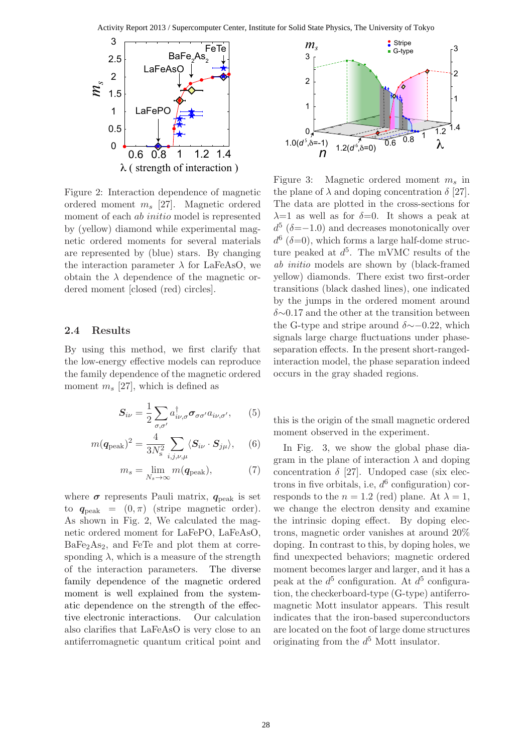

Figure 2: Interaction dependence of magnetic ordered moment  $m_s$  [27]. Magnetic ordered moment of each *ab initio* model is represented by (yellow) diamond while experimental magnetic ordered moments for several materials are represented by (blue) stars. By changing the interaction parameter  $\lambda$  for LaFeAsO, we obtain the  $\lambda$  dependence of the magnetic ordered moment [closed (red) circles].

#### **2.4 Results**

By using this method, we first clarify that the low-energy effective models can reproduce the family dependence of the magnetic ordered moment  $m_s$  [27], which is defined as

$$
S_{i\nu} = \frac{1}{2} \sum_{\sigma,\sigma'} a_{i\nu,\sigma}^{\dagger} \sigma_{\sigma\sigma'} a_{i\nu,\sigma'}, \qquad (5)
$$

$$
m(\mathbf{q}_{\text{peak}})^2 = \frac{4}{3N_s^2} \sum_{i,j,\nu,\mu} \langle \mathbf{S}_{i\nu} \cdot \mathbf{S}_{j\mu} \rangle, \quad (6)
$$

$$
m_s = \lim_{N_s \to \infty} m(\mathbf{q}_{\text{peak}}), \tag{7}
$$

where  $\sigma$  represents Pauli matrix,  $q_{\text{peak}}$  is set to  $q_{\text{peak}} = (0, \pi)$  (stripe magnetic order). As shown in Fig. 2, We calculated the magnetic ordered moment for LaFePO, LaFeAsO,  $BaFe<sub>2</sub>As<sub>2</sub>$ , and FeTe and plot them at corresponding  $\lambda$ , which is a measure of the strength of the interaction parameters. The diverse family dependence of the magnetic ordered moment is well explained from the systematic dependence on the strength of the effective electronic interactions. Our calculation also clarifies that LaFeAsO is very close to an antiferromagnetic quantum critical point and



Figure 3: Magnetic ordered moment  $m_s$  in the plane of  $\lambda$  and doping concentration  $\delta$  [27]. The data are plotted in the cross-sections for  $\lambda=1$  as well as for  $\delta=0$ . It shows a peak at  $d^5$  ( $\delta = -1.0$ ) and decreases monotonically over  $d^6$  ( $\delta$ =0), which forms a large half-dome structure peaked at  $d^5$ . The mVMC results of the *ab initio* models are shown by (black-framed yellow) diamonds. There exist two first-order transitions (black dashed lines), one indicated by the jumps in the ordered moment around δ∼0.17 and the other at the transition between the G-type and stripe around  $\delta \sim$ −0.22, which signals large charge fluctuations under phaseseparation effects. In the present short-rangedinteraction model, the phase separation indeed occurs in the gray shaded regions.

this is the origin of the small magnetic ordered moment observed in the experiment.

In Fig. 3, we show the global phase diagram in the plane of interaction  $\lambda$  and doping concentration  $\delta$  [27]. Undoped case (six electrons in five orbitals, i.e,  $d^6$  configuration) corresponds to the  $n = 1.2$  (red) plane. At  $\lambda = 1$ , we change the electron density and examine the intrinsic doping effect. By doping electrons, magnetic order vanishes at around 20% doping. In contrast to this, by doping holes, we find unexpected behaviors; magnetic ordered moment becomes larger and larger, and it has a peak at the  $d^5$  configuration. At  $d^5$  configuration, the checkerboard-type (G-type) antiferromagnetic Mott insulator appears. This result indicates that the iron-based superconductors are located on the foot of large dome structures originating from the  $d^5$  Mott insulator.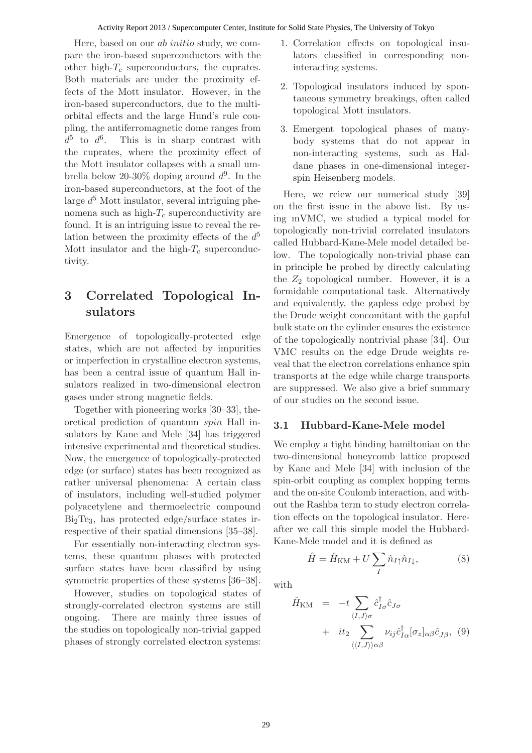#### Activity Report 2013 / Supercomputer Center, Institute for Solid State Physics, The University of Tokyo

Here, based on our ab initio study, we compare the iron-based superconductors with the other high- $T_c$  superconductors, the cuprates. Both materials are under the proximity effects of the Mott insulator. However, in the iron-based superconductors, due to the multiorbital effects and the large Hund's rule coupling, the antiferromagnetic dome ranges from  $d^5$  to  $d^6$ . This is in sharp contrast with the cuprates, where the proximity effect of the Mott insulator collapses with a small umbrella below 20-30% doping around  $d^9$ . In the iron-based superconductors, at the foot of the large  $d^5$  Mott insulator, several intriguing phenomena such as high- $T_c$  superconductivity are found. It is an intriguing issue to reveal the relation between the proximity effects of the  $d^5$ Mott insulator and the high- $T_c$  superconductivity.

# **3 Correlated Topological Insulators**

Emergence of topologically-protected edge states, which are not affected by impurities or imperfection in crystalline electron systems, has been a central issue of quantum Hall insulators realized in two-dimensional electron gases under strong magnetic fields.

Together with pioneering works [30–33], theoretical prediction of quantum spin Hall insulators by Kane and Mele [34] has triggered intensive experimental and theoretical studies. Now, the emergence of topologically-protected edge (or surface) states has been recognized as rather universal phenomena: A certain class of insulators, including well-studied polymer polyacetylene and thermoelectric compound  $Bi<sub>2</sub>Te<sub>3</sub>$ , has protected edge/surface states irrespective of their spatial dimensions [35–38].

For essentially non-interacting electron systems, these quantum phases with protected surface states have been classified by using symmetric properties of these systems [36–38].

However, studies on topological states of strongly-correlated electron systems are still ongoing. There are mainly three issues of the studies on topologically non-trivial gapped phases of strongly correlated electron systems:

- 1. Correlation effects on topological insulators classified in corresponding noninteracting systems.
- 2. Topological insulators induced by spontaneous symmetry breakings, often called topological Mott insulators.
- 3. Emergent topological phases of manybody systems that do not appear in non-interacting systems, such as Haldane phases in one-dimensional integerspin Heisenberg models.

Here, we reiew our numerical study [39] on the first issue in the above list. By using mVMC, we studied a typical model for topologically non-trivial correlated insulators called Hubbard-Kane-Mele model detailed below. The topologically non-trivial phase can in principle be probed by directly calculating the  $Z_2$  topological number. However, it is a formidable computational task. Alternatively and equivalently, the gapless edge probed by the Drude weight concomitant with the gapful bulk state on the cylinder ensures the existence of the topologically nontrivial phase [34]. Our VMC results on the edge Drude weights reveal that the electron correlations enhance spin transports at the edge while charge transports are suppressed. We also give a brief summary of our studies on the second issue.

#### **3.1 Hubbard-Kane-Mele model**

We employ a tight binding hamiltonian on the two-dimensional honeycomb lattice proposed by Kane and Mele [34] with inclusion of the spin-orbit coupling as complex hopping terms and the on-site Coulomb interaction, and without the Rashba term to study electron correlation effects on the topological insulator. Hereafter we call this simple model the Hubbard-Kane-Mele model and it is defined as

$$
\hat{H} = \hat{H}_{\text{KM}} + U \sum_{I} \hat{n}_{I\uparrow} \hat{n}_{I\downarrow}, \tag{8}
$$

with

$$
\hat{H}_{\text{KM}} = -t \sum_{\langle I, J \rangle \sigma} \hat{c}_{I\sigma}^{\dagger} \hat{c}_{J\sigma} \n+ i t_2 \sum_{\langle \langle I, J \rangle \rangle \alpha \beta} \nu_{ij} \hat{c}_{I\alpha}^{\dagger} [\sigma_z]_{\alpha \beta} \hat{c}_{J\beta}, \quad (9)
$$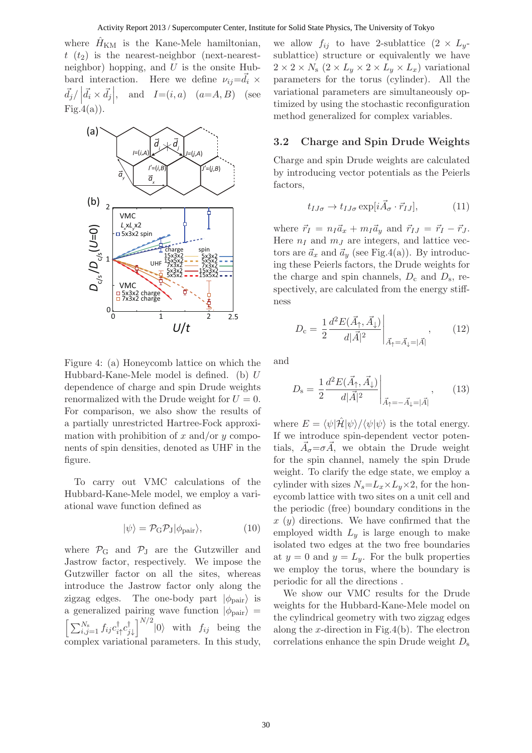where  $\hat{H}_{\text{KM}}$  is the Kane-Mele hamiltonian,  $t(t_2)$  is the nearest-neighbor (next-nearestneighbor) hopping, and  $U$  is the onsite Hubbard interaction. Here we define  $\nu_{ij} = \vec{d}_i \times$  $\vec{d}_j/\left|\vec{d}\right|$  $\vec{d}_i \times \vec{d}_j$ and  $I=(i, a)$   $(a=A, B)$  (see  $Fig.4(a)).$ 



Figure 4: (a) Honeycomb lattice on which the Hubbard-Kane-Mele model is defined. (b) U dependence of charge and spin Drude weights renormalized with the Drude weight for  $U = 0$ . For comparison, we also show the results of a partially unrestricted Hartree-Fock approximation with prohibition of x and/or y components of spin densities, denoted as UHF in the figure.

To carry out VMC calculations of the Hubbard-Kane-Mele model, we employ a variational wave function defined as

$$
|\psi\rangle = \mathcal{P}_{\rm G} \mathcal{P}_{\rm J} |\phi_{\rm pair}\rangle,\tag{10}
$$

where  $P_G$  and  $P_J$  are the Gutzwiller and Jastrow factor, respectively. We impose the Gutzwiller factor on all the sites, whereas introduce the Jastrow factor only along the zigzag edges. The one-body part  $|\phi_{\text{pair}}\rangle$  is a generalized pairing wave function  $|\phi_{\text{pair}}\rangle$  =  $\left[\ \sum_{i,j=1}^{N_{\rm s}}f_{ij}c_{i\uparrow}^{\dagger}c_{j\downarrow}^{\dagger}\right]^{N/2}$  $|0\rangle$  with  $f_{ij}$  being the complex variational parameters. In this study,

we allow  $f_{ij}$  to have 2-sublattice  $(2 \times L_y$ sublattice) structure or equivalently we have  $2 \times 2 \times N_s$   $(2 \times L_y \times 2 \times L_y \times L_x)$  variational parameters for the torus (cylinder). All the variational parameters are simultaneously optimized by using the stochastic reconfiguration method generalized for complex variables.

### **3.2 Charge and Spin Drude Weights**

Charge and spin Drude weights are calculated by introducing vector potentials as the Peierls factors,

$$
t_{IJ\sigma} \to t_{IJ\sigma} \exp[i\vec{A}_{\sigma} \cdot \vec{r}_{IJ}], \tag{11}
$$

where  $\vec{r}_I = n_I \vec{a}_x + m_I \vec{a}_y$  and  $\vec{r}_{IJ} = \vec{r}_I - \vec{r}_J$ . Here  $n_I$  and  $m_J$  are integers, and lattice vectors are  $\vec{a}_x$  and  $\vec{a}_y$  (see Fig.4(a)). By introducing these Peierls factors, the Drude weights for the charge and spin channels,  $D_c$  and  $D_s$ , respectively, are calculated from the energy stiffness

$$
D_{\rm c} = \frac{1}{2} \frac{d^2 E(\vec{A}_{\uparrow}, \vec{A}_{\downarrow})}{d|\vec{A}|^2} \Big|_{\vec{A}_{\uparrow} = \vec{A}_{\downarrow} = |\vec{A}|}, \qquad (12)
$$

and

$$
D_{\rm s} = \frac{1}{2} \frac{d^2 E(\vec{A}_{\uparrow}, \vec{A}_{\downarrow})}{d|\vec{A}|^2} \Big|_{\vec{A}_{\uparrow} = -\vec{A}_{\downarrow} = |\vec{A}|}, \qquad (13)
$$

where  $E = \langle \psi | \hat{\mathcal{H}} | \psi \rangle / \langle \psi | \psi \rangle$  is the total energy. If we introduce spin-dependent vector potentials,  $\vec{A}_{\sigma} = \sigma \vec{A}$ , we obtain the Drude weight for the spin channel, namely the spin Drude weight. To clarify the edge state, we employ a cylinder with sizes  $N_s = L_x \times L_y \times 2$ , for the honeycomb lattice with two sites on a unit cell and the periodic (free) boundary conditions in the  $x(y)$  directions. We have confirmed that the employed width  $L_y$  is large enough to make isolated two edges at the two free boundaries at  $y = 0$  and  $y = L_y$ . For the bulk properties we employ the torus, where the boundary is periodic for all the directions .

We show our VMC results for the Drude weights for the Hubbard-Kane-Mele model on the cylindrical geometry with two zigzag edges along the x-direction in Fig.4(b). The electron correlations enhance the spin Drude weight  $D_s$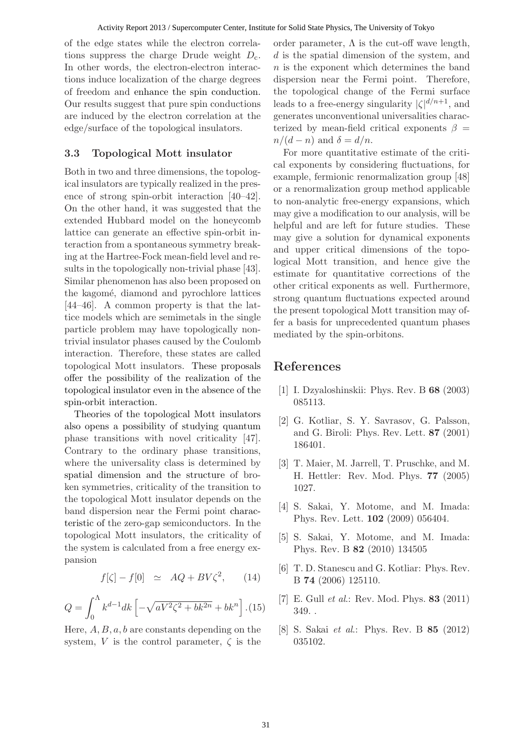of the edge states while the electron correlations suppress the charge Drude weight  $D_c$ . In other words, the electron-electron interactions induce localization of the charge degrees of freedom and enhance the spin conduction. Our results suggest that pure spin conductions are induced by the electron correlation at the edge/surface of the topological insulators.

#### **3.3 Topological Mott insulator**

Both in two and three dimensions, the topological insulators are typically realized in the presence of strong spin-orbit interaction [40–42]. On the other hand, it was suggested that the extended Hubbard model on the honeycomb lattice can generate an effective spin-orbit interaction from a spontaneous symmetry breaking at the Hartree-Fock mean-field level and results in the topologically non-trivial phase [43]. Similar phenomenon has also been proposed on the kagomé, diamond and pyrochlore lattices [44–46]. A common property is that the lattice models which are semimetals in the single particle problem may have topologically nontrivial insulator phases caused by the Coulomb interaction. Therefore, these states are called topological Mott insulators. These proposals offer the possibility of the realization of the topological insulator even in the absence of the spin-orbit interaction.

Theories of the topological Mott insulators also opens a possibility of studying quantum phase transitions with novel criticality [47]. Contrary to the ordinary phase transitions, where the universality class is determined by spatial dimension and the structure of broken symmetries, criticality of the transition to the topological Mott insulator depends on the band dispersion near the Fermi point characteristic of the zero-gap semiconductors. In the topological Mott insulators, the criticality of the system is calculated from a free energy expansion

$$
f[\zeta] - f[0] \simeq AQ + BV\zeta^2, \qquad (14)
$$

$$
Q = \int_0^{\Lambda} k^{d-1} dk \left[ -\sqrt{aV^2 \zeta^2 + bk^{2n}} + bk^n \right]. (15)
$$

Here,  $A, B, a, b$  are constants depending on the system, V is the control parameter,  $\zeta$  is the order parameter,  $\Lambda$  is the cut-off wave length, d is the spatial dimension of the system, and  $n$  is the exponent which determines the band dispersion near the Fermi point. Therefore, the topological change of the Fermi surface leads to a free-energy singularity  $|\zeta|^{d/n+1}$ , and generates unconventional universalities characterized by mean-field critical exponents  $\beta =$  $n/(d-n)$  and  $\delta = d/n$ .

For more quantitative estimate of the critical exponents by considering fluctuations, for example, fermionic renormalization group [48] or a renormalization group method applicable to non-analytic free-energy expansions, which may give a modification to our analysis, will be helpful and are left for future studies. These may give a solution for dynamical exponents and upper critical dimensions of the topological Mott transition, and hence give the estimate for quantitative corrections of the other critical exponents as well. Furthermore, strong quantum fluctuations expected around the present topological Mott transition may offer a basis for unprecedented quantum phases mediated by the spin-orbitons.

## **References**

- [1] I. Dzyaloshinskii: Phys. Rev. B **68** (2003) 085113.
- [2] G. Kotliar, S. Y. Savrasov, G. Palsson, and G. Biroli: Phys. Rev. Lett. **87** (2001) 186401.
- [3] T. Maier, M. Jarrell, T. Pruschke, and M. H. Hettler: Rev. Mod. Phys. **77** (2005) 1027.
- [4] S. Sakai, Y. Motome, and M. Imada: Phys. Rev. Lett. **102** (2009) 056404.
- [5] S. Sakai, Y. Motome, and M. Imada: Phys. Rev. B **82** (2010) 134505
- [6] T. D. Stanescu and G. Kotliar: Phys. Rev. B **74** (2006) 125110.
- [7] E. Gull *et al*.: Rev. Mod. Phys. **83** (2011) 349. .
- [8] S. Sakai *et al*.: Phys. Rev. B **85** (2012) 035102.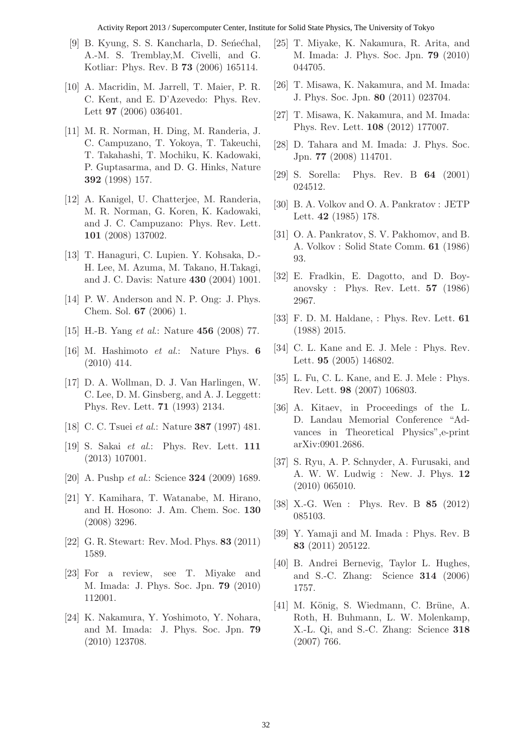#### Activity Report 2013 / Supercomputer Center, Institute for Solid State Physics, The University of Tokyo

- [9] B. Kyung, S. S. Kancharla, D. Seńećhal, A.-M. S. Tremblay,M. Civelli, and G. Kotliar: Phys. Rev. B **73** (2006) 165114.
- [10] A. Macridin, M. Jarrell, T. Maier, P. R. C. Kent, and E. D'Azevedo: Phys. Rev. Lett **97** (2006) 036401.
- [11] M. R. Norman, H. Ding, M. Randeria, J. C. Campuzano, T. Yokoya, T. Takeuchi, T. Takahashi, T. Mochiku, K. Kadowaki, P. Guptasarma, and D. G. Hinks, Nature **392** (1998) 157.
- [12] A. Kanigel, U. Chatterjee, M. Randeria, M. R. Norman, G. Koren, K. Kadowaki, and J. C. Campuzano: Phys. Rev. Lett. **101** (2008) 137002.
- [13] T. Hanaguri, C. Lupien. Y. Kohsaka, D.- H. Lee, M. Azuma, M. Takano, H.Takagi, and J. C. Davis: Nature **430** (2004) 1001.
- [14] P. W. Anderson and N. P. Ong: J. Phys. Chem. Sol. **67** (2006) 1.
- [15] H.-B. Yang *et al*.: Nature **456** (2008) 77.
- [16] M. Hashimoto *et al*.: Nature Phys. **6** (2010) 414.
- [17] D. A. Wollman, D. J. Van Harlingen, W. C. Lee, D. M. Ginsberg, and A. J. Leggett: Phys. Rev. Lett. **71** (1993) 2134.
- [18] C. C. Tsuei *et al*.: Nature **387** (1997) 481.
- [19] S. Sakai *et al*.: Phys. Rev. Lett. **111** (2013) 107001.
- [20] A. Pushp *et al*.: Science **324** (2009) 1689.
- [21] Y. Kamihara, T. Watanabe, M. Hirano, and H. Hosono: J. Am. Chem. Soc. **130** (2008) 3296.
- [22] G. R. Stewart: Rev. Mod. Phys. **83** (2011) 1589.
- [23] For a review, see T. Miyake and M. Imada: J. Phys. Soc. Jpn. **79** (2010) 112001.
- [24] K. Nakamura, Y. Yoshimoto, Y. Nohara, and M. Imada: J. Phys. Soc. Jpn. **79** (2010) 123708.
- [25] T. Miyake, K. Nakamura, R. Arita, and M. Imada: J. Phys. Soc. Jpn. **79** (2010) 044705.
- [26] T. Misawa, K. Nakamura, and M. Imada: J. Phys. Soc. Jpn. **80** (2011) 023704.
- [27] T. Misawa, K. Nakamura, and M. Imada: Phys. Rev. Lett. **108** (2012) 177007.
- [28] D. Tahara and M. Imada: J. Phys. Soc. Jpn. **77** (2008) 114701.
- [29] S. Sorella: Phys. Rev. B **64** (2001) 024512.
- [30] B. A. Volkov and O. A. Pankratov : JETP Lett. **42** (1985) 178.
- [31] O. A. Pankratov, S. V. Pakhomov, and B. A. Volkov : Solid State Comm. **61** (1986) 93.
- [32] E. Fradkin, E. Dagotto, and D. Boyanovsky : Phys. Rev. Lett. **57** (1986) 2967.
- [33] F. D. M. Haldane, : Phys. Rev. Lett. **61** (1988) 2015.
- [34] C. L. Kane and E. J. Mele : Phys. Rev. Lett. **95** (2005) 146802.
- [35] L. Fu, C. L. Kane, and E. J. Mele : Phys. Rev. Lett. **98** (2007) 106803.
- [36] A. Kitaev, in Proceedings of the L. D. Landau Memorial Conference "Advances in Theoretical Physics",e-print arXiv:0901.2686.
- [37] S. Ryu, A. P. Schnyder, A. Furusaki, and A. W. W. Ludwig : New. J. Phys. **12** (2010) 065010.
- [38] X.-G. Wen : Phys. Rev. B **85** (2012) 085103.
- [39] Y. Yamaji and M. Imada : Phys. Rev. B **83** (2011) 205122.
- [40] B. Andrei Bernevig, Taylor L. Hughes, and S.-C. Zhang: Science **314** (2006) 1757.
- [41] M. König, S. Wiedmann, C. Brüne, A. Roth, H. Buhmann, L. W. Molenkamp, X.-L. Qi, and S.-C. Zhang: Science **318** (2007) 766.